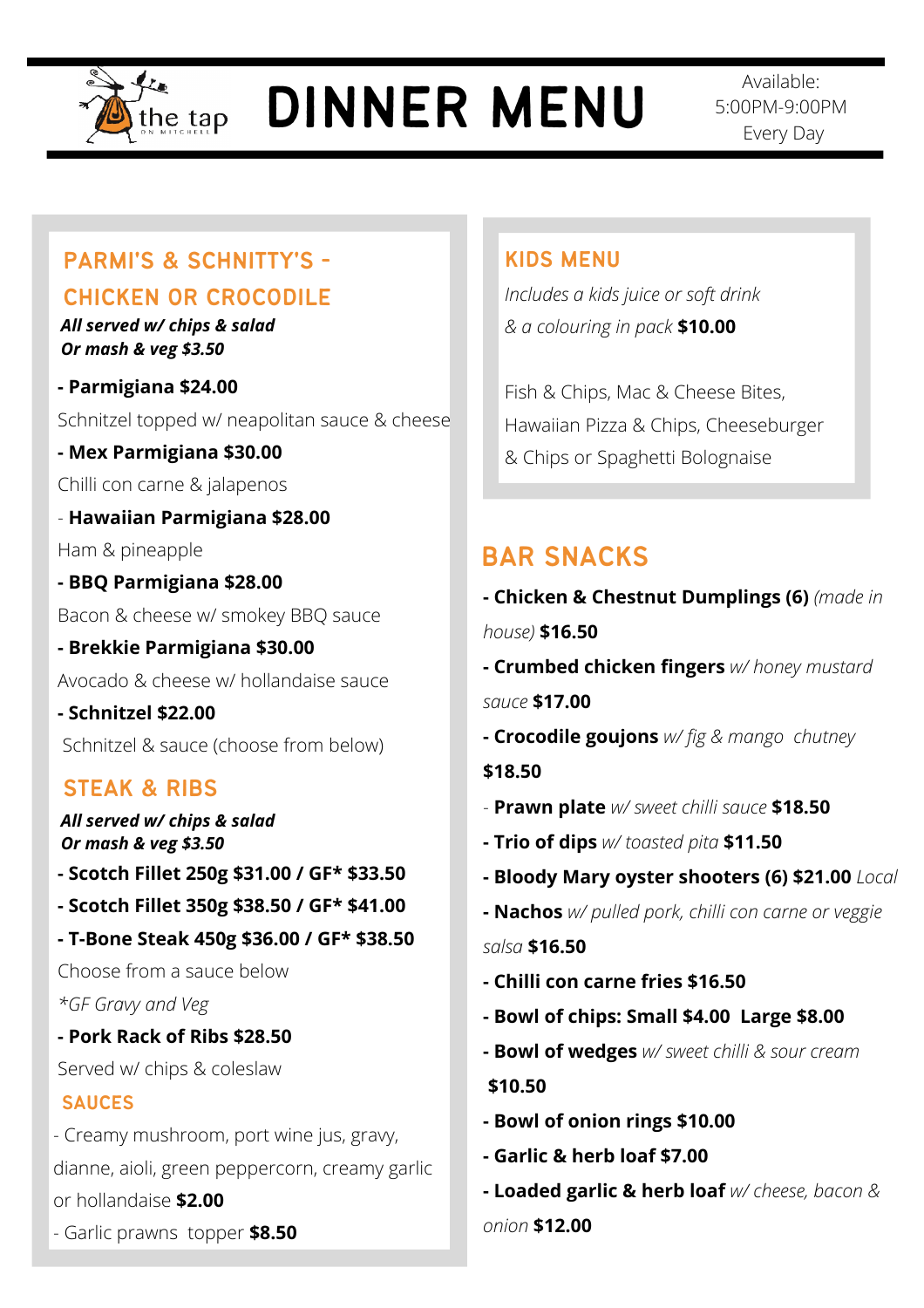

# DINNER MENU

Available: 5:00PM-9:00PM Every Day

# PARMI'S & SCHNITTY'S -

# CHICKEN OR CROCODILE

*All served w/ chips & salad Or mash & veg \$3.50*

**- Parmigiana \$24.00** Schnitzel topped w/ neapolitan sauce & cheese

**- Mex Parmigiana \$30.00**

Chilli con carne & jalapenos

- **Hawaiian Parmigiana \$28.00** Ham & pineapple

**- BBQ Parmigiana \$28.00**  Bacon & cheese w/ smokey BBQ sauce

**- Brekkie Parmigiana \$30.00** Avocado & cheese w/ hollandaise sauce

**- Schnitzel \$22.00** Schnitzel & sauce (choose from below)

# STEAK & RIBS

*All served w/ chips & salad Or mash & veg \$3.50*

**- Scotch Fillet 250g \$31.00 / GF\* \$33.50**

- **Scotch Fillet 350g \$38.50 / GF\* \$41.00**
- **T-Bone Steak 450g \$36.00 / GF\* \$38.50**

Choose from a sauce below *\*GF Gravy and Veg*

**- Pork Rack of Ribs \$28.50**

Served w/ chips & coleslaw

### SAUCES

- Creamy mushroom, port wine jus, gravy, dianne, aioli, green peppercorn, creamy garlic or hollandaise **\$2.00**

- Garlic prawns topper **\$8.50** 

## KIDS MENU

*Includes a kids juice or soft drink & a colouring in pack* **\$10.00**

Fish & Chips, Mac & Cheese Bites, Hawaiian Pizza & Chips, Cheeseburger & Chips or Spaghetti Bolognaise

# BAR SNACKS

**- Chicken & Chestnut Dumplings (6)** *(made in house)* **\$16.50 - Crumbed chicken fingers** *w/ honey mustard sauce* **\$17.00 - Crocodile goujons** *w/ fig & mango chutney* **\$18.50** - **Prawn plate** *w/ sweet chilli sauce* **\$18.50 - Trio of dips** *w/ toasted pita* **\$11.50 - Bloody Mary oyster shooters (6) \$21.00** *Local* **- Nachos** *w/ pulled pork, chilli con carne or veggie salsa* **\$16.50 - Chilli con carne fries \$16.50 - Bowl of chips: Small \$4.00 Large \$8.00 - Bowl of wedges** *w/ sweet chilli & sour cream* **\$10.50 - Bowl of onion rings \$10.00 - Garlic & herb loaf \$7.00**

**- Loaded garlic & herb loaf** *w/ cheese, bacon & onion* **\$12.00**